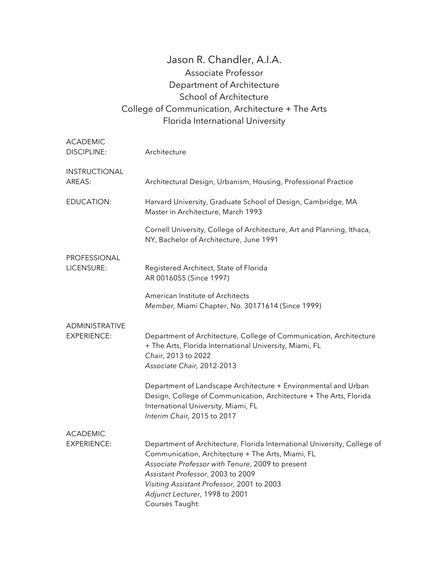## Jason R. Chandler, A.I.A. Associate Professor Department of Architecture School of Architecture College of Communication, Architecture + The Arts Florida International University

| <b>ACADEMIC</b><br><b>DISCIPLINE:</b> | Architecture                                                                                                                                                                                                                                                                                                              |
|---------------------------------------|---------------------------------------------------------------------------------------------------------------------------------------------------------------------------------------------------------------------------------------------------------------------------------------------------------------------------|
| INSTRUCTIONAL<br>AREAS:               | Architectural Design, Urbanism, Housing, Professional Practice                                                                                                                                                                                                                                                            |
| EDUCATION:                            | Harvard University, Graduate School of Design, Cambridge, MA<br>Master in Architecture, March 1993                                                                                                                                                                                                                        |
|                                       | Cornell University, College of Architecture, Art and Planning, Ithaca,<br>NY, Bachelor of Architecture, June 1991                                                                                                                                                                                                         |
| PROFESSIONAL<br>LICENSURE:            | Registered Architect, State of Florida<br>AR 0016055 (Since 1997)                                                                                                                                                                                                                                                         |
|                                       | American Institute of Architects<br>Member, Miami Chapter, No. 30171614 (Since 1999)                                                                                                                                                                                                                                      |
| ADMINISTRATIVE<br><b>EXPERIENCE:</b>  | Department of Architecture, College of Communication, Architecture<br>+ The Arts, Florida International University, Miami, FL<br>Chair, 2013 to 2022<br>Associate Chair, 2012-2013                                                                                                                                        |
|                                       | Department of Landscape Architecture + Environmental and Urban<br>Design, College of Communication, Architecture + The Arts, Florida<br>International University, Miami, FL<br>Interim Chair, 2015 to 2017                                                                                                                |
| <b>ACADEMIC</b>                       |                                                                                                                                                                                                                                                                                                                           |
| <b>EXPERIENCE:</b>                    | Department of Architecture, Florida International University, College of<br>Communication, Architecture + The Arts, Miami, FL<br>Associate Professor with Tenure, 2009 to present<br>Assistant Professor, 2003 to 2009<br>Visiting Assistant Professor, 2001 to 2003<br>Adjunct Lecturer, 1998 to 2001<br>Courses Taught: |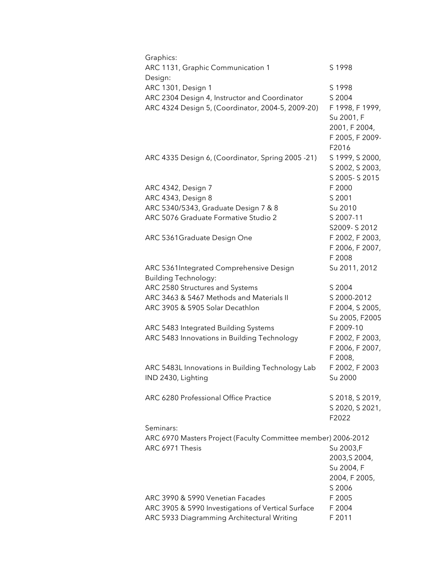| Graphics:                                                     |                 |
|---------------------------------------------------------------|-----------------|
| ARC 1131, Graphic Communication 1                             | S 1998          |
| Design:                                                       |                 |
| ARC 1301, Design 1                                            | S 1998          |
| ARC 2304 Design 4, Instructor and Coordinator                 | S 2004          |
| ARC 4324 Design 5, (Coordinator, 2004-5, 2009-20)             | F 1998, F 1999, |
|                                                               | Su 2001, F      |
|                                                               | 2001, F 2004,   |
|                                                               | F 2005, F 2009- |
|                                                               |                 |
|                                                               | F2016           |
| ARC 4335 Design 6, (Coordinator, Spring 2005 -21)             | S 1999, S 2000, |
|                                                               | S 2002, S 2003, |
|                                                               | S 2005-S 2015   |
| ARC 4342, Design 7                                            | F 2000          |
| ARC 4343, Design 8                                            | S 2001          |
| ARC 5340/5343, Graduate Design 7 & 8                          | Su 2010         |
| ARC 5076 Graduate Formative Studio 2                          | S 2007-11       |
|                                                               | S2009-S2012     |
| ARC 5361Graduate Design One                                   | F 2002, F 2003, |
|                                                               | F 2006, F 2007, |
|                                                               | F 2008          |
|                                                               |                 |
| ARC 5361Integrated Comprehensive Design                       | Su 2011, 2012   |
| <b>Building Technology:</b>                                   |                 |
| ARC 2580 Structures and Systems                               | S 2004          |
| ARC 3463 & 5467 Methods and Materials II                      | S 2000-2012     |
| ARC 3905 & 5905 Solar Decathlon                               | F 2004, S 2005, |
|                                                               | Su 2005, F2005  |
| ARC 5483 Integrated Building Systems                          | F 2009-10       |
| ARC 5483 Innovations in Building Technology                   | F 2002, F 2003, |
|                                                               | F 2006, F 2007, |
|                                                               | F 2008,         |
| ARC 5483L Innovations in Building Technology Lab              | F 2002, F 2003  |
| IND 2430, Lighting                                            | Su 2000         |
|                                                               |                 |
| ARC 6280 Professional Office Practice                         | S 2018, S 2019, |
|                                                               | S 2020, S 2021, |
|                                                               | F2022           |
| Seminars:                                                     |                 |
|                                                               |                 |
| ARC 6970 Masters Project (Faculty Committee member) 2006-2012 |                 |
| ARC 6971 Thesis                                               | Su 2003,F       |
|                                                               | 2003, S 2004,   |
|                                                               | Su 2004, F      |
|                                                               | 2004, F 2005,   |
|                                                               | S 2006          |
| ARC 3990 & 5990 Venetian Facades                              | F 2005          |
| ARC 3905 & 5990 Investigations of Vertical Surface            | F 2004          |
| ARC 5933 Diagramming Architectural Writing                    | F 2011          |
|                                                               |                 |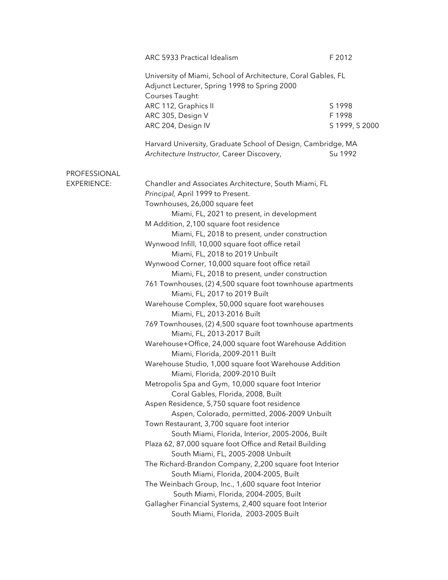|                                    | ARC 5933 Practical Idealism                                                                                                                                                                                                                                                                                                                                                                                                                                                                                                                                                                                                                                                                                                                                                                                                                                                                                                                                                                                                                                                                                                                                                                                                                                                                                                                                                                                                                                                                                                                           | F 2012                             |
|------------------------------------|-------------------------------------------------------------------------------------------------------------------------------------------------------------------------------------------------------------------------------------------------------------------------------------------------------------------------------------------------------------------------------------------------------------------------------------------------------------------------------------------------------------------------------------------------------------------------------------------------------------------------------------------------------------------------------------------------------------------------------------------------------------------------------------------------------------------------------------------------------------------------------------------------------------------------------------------------------------------------------------------------------------------------------------------------------------------------------------------------------------------------------------------------------------------------------------------------------------------------------------------------------------------------------------------------------------------------------------------------------------------------------------------------------------------------------------------------------------------------------------------------------------------------------------------------------|------------------------------------|
|                                    | University of Miami, School of Architecture, Coral Gables, FL<br>Adjunct Lecturer, Spring 1998 to Spring 2000<br>Courses Taught:                                                                                                                                                                                                                                                                                                                                                                                                                                                                                                                                                                                                                                                                                                                                                                                                                                                                                                                                                                                                                                                                                                                                                                                                                                                                                                                                                                                                                      |                                    |
|                                    | ARC 112, Graphics II<br>ARC 305, Design V<br>ARC 204, Design IV                                                                                                                                                                                                                                                                                                                                                                                                                                                                                                                                                                                                                                                                                                                                                                                                                                                                                                                                                                                                                                                                                                                                                                                                                                                                                                                                                                                                                                                                                       | S 1998<br>F 1998<br>S 1999, S 2000 |
|                                    | Harvard University, Graduate School of Design, Cambridge, MA<br>Architecture Instructor, Career Discovery,                                                                                                                                                                                                                                                                                                                                                                                                                                                                                                                                                                                                                                                                                                                                                                                                                                                                                                                                                                                                                                                                                                                                                                                                                                                                                                                                                                                                                                            | Su 1992                            |
| PROFESSIONAL<br><b>EXPERIENCE:</b> | Chandler and Associates Architecture, South Miami, FL<br>Principal, April 1999 to Present.<br>Townhouses, 26,000 square feet<br>Miami, FL, 2021 to present, in development<br>M Addition, 2,100 square foot residence<br>Miami, FL, 2018 to present, under construction<br>Wynwood Infill, 10,000 square foot office retail<br>Miami, FL, 2018 to 2019 Unbuilt<br>Wynwood Corner, 10,000 square foot office retail<br>Miami, FL, 2018 to present, under construction<br>761 Townhouses, (2) 4,500 square foot townhouse apartments<br>Miami, FL, 2017 to 2019 Built<br>Warehouse Complex, 50,000 square foot warehouses<br>Miami, FL, 2013-2016 Built<br>769 Townhouses, (2) 4,500 square foot townhouse apartments<br>Miami, FL, 2013-2017 Built<br>Warehouse+Office, 24,000 square foot Warehouse Addition<br>Miami, Florida, 2009-2011 Built<br>Warehouse Studio, 1,000 square foot Warehouse Addition<br>Miami, Florida, 2009-2010 Built<br>Metropolis Spa and Gym, 10,000 square foot Interior<br>Coral Gables, Florida, 2008, Built<br>Aspen Residence, 5,750 square foot residence<br>Aspen, Colorado, permitted, 2006-2009 Unbuilt<br>Town Restaurant, 3,700 square foot interior<br>South Miami, Florida, Interior, 2005-2006, Built<br>Plaza 62, 87,000 square foot Office and Retail Building<br>South Miami, FL, 2005-2008 Unbuilt<br>The Richard-Brandon Company, 2,200 square foot Interior<br>South Miami, Florida, 2004-2005, Built<br>The Weinbach Group, Inc., 1,600 square foot Interior<br>South Miami, Florida, 2004-2005, Built |                                    |
|                                    | Gallagher Financial Systems, 2,400 square foot Interior<br>South Miami, Florida, 2003-2005 Built                                                                                                                                                                                                                                                                                                                                                                                                                                                                                                                                                                                                                                                                                                                                                                                                                                                                                                                                                                                                                                                                                                                                                                                                                                                                                                                                                                                                                                                      |                                    |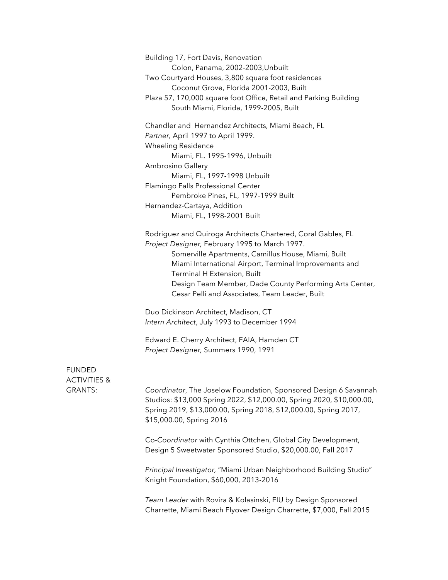Building 17, Fort Davis, Renovation Colon, Panama, 2002-2003,Unbuilt Two Courtyard Houses, 3,800 square foot residences Coconut Grove, Florida 2001-2003, Built Plaza 57, 170,000 square foot Office, Retail and Parking Building South Miami, Florida, 1999-2005, Built

Chandler and Hernandez Architects, Miami Beach, FL *Partner,* April 1997 to April 1999. Wheeling Residence Miami, FL. 1995-1996, Unbuilt Ambrosino Gallery Miami, FL, 1997-1998 Unbuilt Flamingo Falls Professional Center Pembroke Pines, FL, 1997-1999 Built Hernandez-Cartaya, Addition Miami, FL, 1998-2001 Built

Rodriguez and Quiroga Architects Chartered, Coral Gables, FL *Project Designer,* February 1995 to March 1997. Somerville Apartments, Camillus House, Miami, Built Miami International Airport, Terminal Improvements and Terminal H Extension, Built Design Team Member, Dade County Performing Arts Center, Cesar Pelli and Associates, Team Leader, Built

Duo Dickinson Architect, Madison, CT *Intern Architect*, July 1993 to December 1994

Edward E. Cherry Architect, FAIA, Hamden CT *Project Designer,* Summers 1990, 1991

## FUNDED ACTIVITIES &

GRANTS: *Coordinator*, The Joselow Foundation, Sponsored Design 6 Savannah Studios: \$13,000 Spring 2022, \$12,000.00, Spring 2020, \$10,000.00, Spring 2019, \$13,000.00, Spring 2018, \$12,000.00, Spring 2017, \$15,000.00, Spring 2016

> Co-*Coordinator* with Cynthia Ottchen, Global City Development, Design 5 Sweetwater Sponsored Studio, \$20,000.00, Fall 2017

*Principal Investigator,* "Miami Urban Neighborhood Building Studio" Knight Foundation, \$60,000, 2013-2016

*Team Leader* with Rovira & Kolasinski, FIU by Design Sponsored Charrette, Miami Beach Flyover Design Charrette, \$7,000, Fall 2015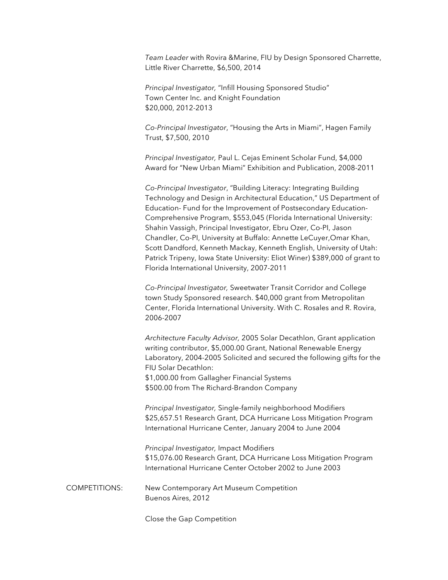*Team Leader* with Rovira &Marine, FIU by Design Sponsored Charrette, Little River Charrette, \$6,500, 2014

*Principal Investigator,* "Infill Housing Sponsored Studio" Town Center Inc. and Knight Foundation \$20,000, 2012-2013

*Co-Principal Investigator*, "Housing the Arts in Miami", Hagen Family Trust, \$7,500, 2010

*Principal Investigator,* Paul L. Cejas Eminent Scholar Fund, \$4,000 Award for "New Urban Miami" Exhibition and Publication, 2008-2011

*Co-Principal Investigator*, "Building Literacy: Integrating Building Technology and Design in Architectural Education," US Department of Education- Fund for the Improvement of Postsecondary Education-Comprehensive Program, \$553,045 (Florida International University: Shahin Vassigh, Principal Investigator, Ebru Ozer, Co-PI, Jason Chandler, Co-PI, University at Buffalo: Annette LeCuyer,Omar Khan, Scott Dandford, Kenneth Mackay, Kenneth English, University of Utah: Patrick Tripeny, Iowa State University: Eliot Winer) \$389,000 of grant to Florida International University, 2007-2011

*Co-Principal Investigator,* Sweetwater Transit Corridor and College town Study Sponsored research. \$40,000 grant from Metropolitan Center, Florida International University. With C. Rosales and R. Rovira, 2006-2007

*Architecture Faculty Advisor,* 2005 Solar Decathlon, Grant application writing contributor, \$5,000.00 Grant, National Renewable Energy Laboratory, 2004-2005 Solicited and secured the following gifts for the FIU Solar Decathlon: \$1,000.00 from Gallagher Financial Systems \$500.00 from The Richard-Brandon Company

*Principal Investigator,* Single-family neighborhood Modifiers \$25,657.51 Research Grant, DCA Hurricane Loss Mitigation Program International Hurricane Center, January 2004 to June 2004

*Principal Investigator,* Impact Modifiers \$15,076.00 Research Grant, DCA Hurricane Loss Mitigation Program International Hurricane Center October 2002 to June 2003

COMPETITIONS: New Contemporary Art Museum Competition Buenos Aires, 2012

Close the Gap Competition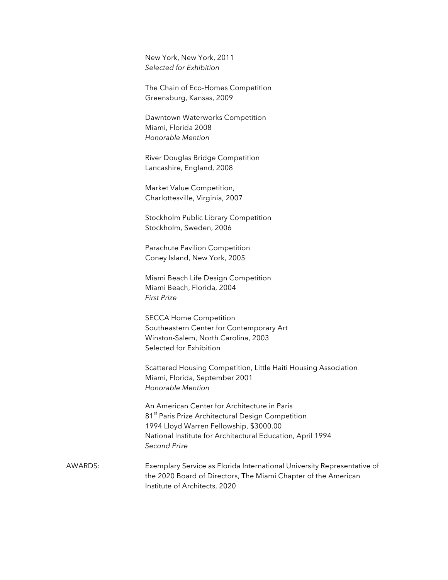New York, New York, 2011 *Selected for Exhibition* 

The Chain of Eco-Homes Competition Greensburg, Kansas, 2009

Dawntown Waterworks Competition Miami, Florida 2008 *Honorable Mention*

River Douglas Bridge Competition Lancashire, England, 2008

Market Value Competition, Charlottesville, Virginia, 2007

Stockholm Public Library Competition Stockholm, Sweden, 2006

Parachute Pavilion Competition Coney Island, New York, 2005

Miami Beach Life Design Competition Miami Beach, Florida, 2004 *First Prize*

SECCA Home Competition Southeastern Center for Contemporary Art Winston-Salem, North Carolina, 2003 Selected for Exhibition

Scattered Housing Competition, Little Haiti Housing Association Miami, Florida, September 2001 *Honorable Mention*

An American Center for Architecture in Paris 81<sup>st</sup> Paris Prize Architectural Design Competition 1994 Lloyd Warren Fellowship, \$3000.00 National Institute for Architectural Education, April 1994 *Second Prize*

AWARDS: Exemplary Service as Florida International University Representative of the 2020 Board of Directors, The Miami Chapter of the American Institute of Architects, 2020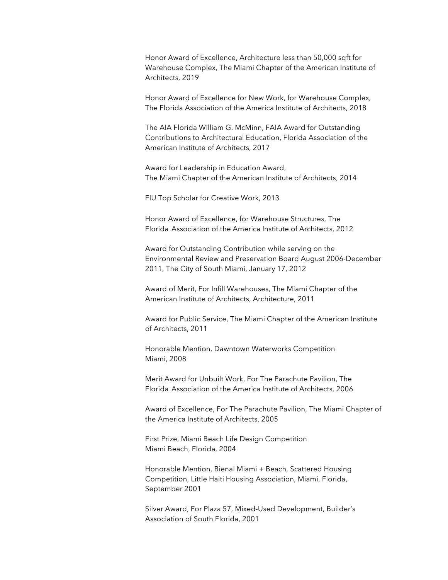Honor Award of Excellence, Architecture less than 50,000 sqft for Warehouse Complex, The Miami Chapter of the American Institute of Architects, 2019

Honor Award of Excellence for New Work, for Warehouse Complex, The Florida Association of the America Institute of Architects, 2018

The AIA Florida William G. McMinn, FAIA Award for Outstanding Contributions to Architectural Education, Florida Association of the American Institute of Architects, 2017

Award for Leadership in Education Award, The Miami Chapter of the American Institute of Architects, 2014

FIU Top Scholar for Creative Work, 2013

Honor Award of Excellence, for Warehouse Structures, The Florida Association of the America Institute of Architects, 2012

Award for Outstanding Contribution while serving on the Environmental Review and Preservation Board August 2006-December 2011, The City of South Miami, January 17, 2012

Award of Merit, For Infill Warehouses, The Miami Chapter of the American Institute of Architects, Architecture, 2011

Award for Public Service, The Miami Chapter of the American Institute of Architects, 2011

Honorable Mention, Dawntown Waterworks Competition Miami, 2008

Merit Award for Unbuilt Work, For The Parachute Pavilion, The Florida Association of the America Institute of Architects, 2006

Award of Excellence, For The Parachute Pavilion, The Miami Chapter of the America Institute of Architects, 2005

First Prize, Miami Beach Life Design Competition Miami Beach, Florida, 2004

Honorable Mention, Bienal Miami + Beach, Scattered Housing Competition, Little Haiti Housing Association, Miami, Florida, September 2001

Silver Award, For Plaza 57, Mixed-Used Development, Builder's Association of South Florida, 2001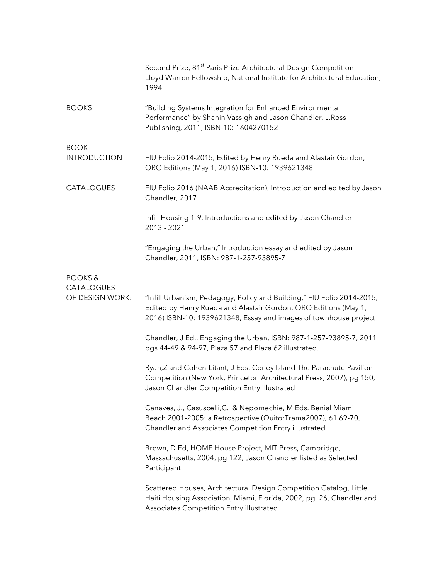|                                      | Second Prize, 81 <sup>st</sup> Paris Prize Architectural Design Competition<br>Lloyd Warren Fellowship, National Institute for Architectural Education,<br>1994                                               |
|--------------------------------------|---------------------------------------------------------------------------------------------------------------------------------------------------------------------------------------------------------------|
| <b>BOOKS</b>                         | "Building Systems Integration for Enhanced Environmental<br>Performance" by Shahin Vassigh and Jason Chandler, J.Ross<br>Publishing, 2011, ISBN-10: 1604270152                                                |
| <b>BOOK</b><br><b>INTRODUCTION</b>   | FIU Folio 2014-2015, Edited by Henry Rueda and Alastair Gordon,<br>ORO Editions (May 1, 2016) ISBN-10: 1939621348                                                                                             |
| <b>CATALOGUES</b>                    | FIU Folio 2016 (NAAB Accreditation), Introduction and edited by Jason<br>Chandler, 2017                                                                                                                       |
|                                      | Infill Housing 1-9, Introductions and edited by Jason Chandler<br>2013 - 2021                                                                                                                                 |
|                                      | "Engaging the Urban," Introduction essay and edited by Jason<br>Chandler, 2011, ISBN: 987-1-257-93895-7                                                                                                       |
| <b>BOOKS&amp;</b>                    |                                                                                                                                                                                                               |
| <b>CATALOGUES</b><br>OF DESIGN WORK: | "Infill Urbanism, Pedagogy, Policy and Building," FIU Folio 2014-2015,<br>Edited by Henry Rueda and Alastair Gordon, ORO Editions (May 1,<br>2016) ISBN-10: 1939621348, Essay and images of townhouse project |
|                                      | Chandler, J Ed., Engaging the Urban, ISBN: 987-1-257-93895-7, 2011<br>pgs 44-49 & 94-97, Plaza 57 and Plaza 62 illustrated.                                                                                   |
|                                      | Ryan, Z and Cohen-Litant, J Eds. Coney Island The Parachute Pavilion<br>Competition (New York, Princeton Architectural Press, 2007), pg 150,<br>Jason Chandler Competition Entry illustrated                  |
|                                      | Canaves, J., Casuscelli, C. & Nepomechie, M Eds. Benial Miami +<br>Beach 2001-2005: a Retrospective (Quito:Trama2007), 61,69-70,.<br>Chandler and Associates Competition Entry illustrated                    |
|                                      | Brown, D Ed, HOME House Project, MIT Press, Cambridge,<br>Massachusetts, 2004, pg 122, Jason Chandler listed as Selected<br>Participant                                                                       |
|                                      | Scattered Houses, Architectural Design Competition Catalog, Little<br>Haiti Housing Association, Miami, Florida, 2002, pg. 26, Chandler and<br>Associates Competition Entry illustrated                       |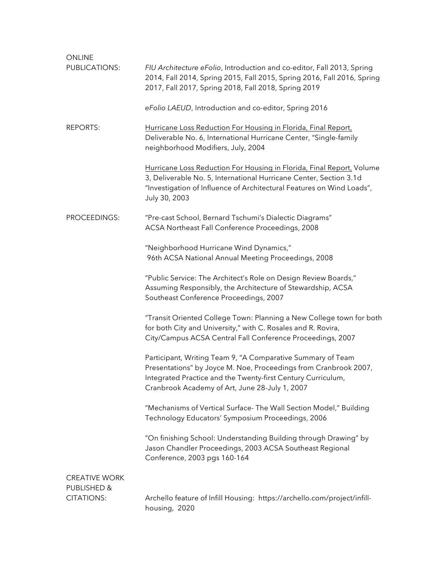| ONLINE                           |                                                                                                                                                                                                                                                   |
|----------------------------------|---------------------------------------------------------------------------------------------------------------------------------------------------------------------------------------------------------------------------------------------------|
| PUBLICATIONS:                    | FIU Architecture eFolio, Introduction and co-editor, Fall 2013, Spring<br>2014, Fall 2014, Spring 2015, Fall 2015, Spring 2016, Fall 2016, Spring<br>2017, Fall 2017, Spring 2018, Fall 2018, Spring 2019                                         |
|                                  | eFolio LAEUD, Introduction and co-editor, Spring 2016                                                                                                                                                                                             |
| <b>REPORTS:</b>                  | Hurricane Loss Reduction For Housing in Florida, Final Report,<br>Deliverable No. 6, International Hurricane Center, "Single-family<br>neighborhood Modifiers, July, 2004                                                                         |
|                                  | Hurricane Loss Reduction For Housing in Florida, Final Report, Volume<br>3, Deliverable No. 5, International Hurricane Center, Section 3.1d<br>"Investigation of Influence of Architectural Features on Wind Loads",<br>July 30, 2003             |
| PROCEEDINGS:                     | "Pre-cast School, Bernard Tschumi's Dialectic Diagrams"<br>ACSA Northeast Fall Conference Proceedings, 2008                                                                                                                                       |
|                                  | "Neighborhood Hurricane Wind Dynamics,"<br>96th ACSA National Annual Meeting Proceedings, 2008                                                                                                                                                    |
|                                  | "Public Service: The Architect's Role on Design Review Boards,"<br>Assuming Responsibly, the Architecture of Stewardship, ACSA<br>Southeast Conference Proceedings, 2007                                                                          |
|                                  | "Transit Oriented College Town: Planning a New College town for both<br>for both City and University," with C. Rosales and R. Rovira,<br>City/Campus ACSA Central Fall Conference Proceedings, 2007                                               |
|                                  | Participant, Writing Team 9, "A Comparative Summary of Team<br>Presentations" by Joyce M. Noe, Proceedings from Cranbrook 2007,<br>Integrated Practice and the Twenty-first Century Curriculum,<br>Cranbrook Academy of Art, June 28-July 1, 2007 |
|                                  | "Mechanisms of Vertical Surface- The Wall Section Model," Building<br>Technology Educators' Symposium Proceedings, 2006                                                                                                                           |
|                                  | "On finishing School: Understanding Building through Drawing" by<br>Jason Chandler Proceedings, 2003 ACSA Southeast Regional<br>Conference, 2003 pgs 160-164                                                                                      |
| <b>CREATIVE WORK</b>             |                                                                                                                                                                                                                                                   |
| PUBLISHED &<br><b>CITATIONS:</b> | Archello feature of Infill Housing: https://archello.com/project/infill-<br>housing, 2020                                                                                                                                                         |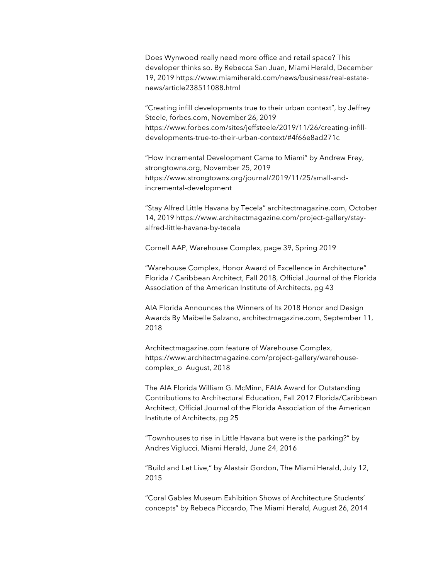Does Wynwood really need more office and retail space? This developer thinks so. By Rebecca San Juan, Miami Herald, December 19, 2019 https://www.miamiherald.com/news/business/real-estatenews/article238511088.html

"Creating infill developments true to their urban context", by Jeffrey Steele, forbes.com, November 26, 2019 https://www.forbes.com/sites/jeffsteele/2019/11/26/creating-infilldevelopments-true-to-their-urban-context/#4f66e8ad271c

"How Incremental Development Came to Miami" by Andrew Frey, strongtowns.org, November 25, 2019 https://www.strongtowns.org/journal/2019/11/25/small-andincremental-development

"Stay Alfred Little Havana by Tecela" architectmagazine.com, October 14, 2019 https://www.architectmagazine.com/project-gallery/stayalfred-little-havana-by-tecela

Cornell AAP, Warehouse Complex, page 39, Spring 2019

"Warehouse Complex, Honor Award of Excellence in Architecture" Florida / Caribbean Architect, Fall 2018, Official Journal of the Florida Association of the American Institute of Architects, pg 43

AIA Florida Announces the Winners of Its 2018 Honor and Design Awards By Maibelle Salzano, architectmagazine.com, September 11, 2018

Architectmagazine.com feature of Warehouse Complex, https://www.architectmagazine.com/project-gallery/warehousecomplex\_o August, 2018

The AIA Florida William G. McMinn, FAIA Award for Outstanding Contributions to Architectural Education, Fall 2017 Florida/Caribbean Architect, Official Journal of the Florida Association of the American Institute of Architects, pg 25

"Townhouses to rise in Little Havana but were is the parking?" by Andres Viglucci, Miami Herald, June 24, 2016

"Build and Let Live," by Alastair Gordon, The Miami Herald, July 12, 2015

"Coral Gables Museum Exhibition Shows of Architecture Students' concepts" by Rebeca Piccardo, The Miami Herald, August 26, 2014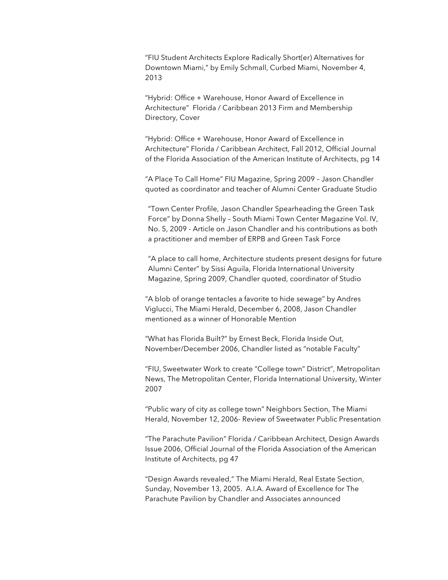"FIU Student Architects Explore Radically Short(er) Alternatives for Downtown Miami," by Emily Schmall, Curbed Miami, November 4, 2013

"Hybrid: Office + Warehouse, Honor Award of Excellence in Architecture" Florida / Caribbean 2013 Firm and Membership Directory, Cover

"Hybrid: Office + Warehouse, Honor Award of Excellence in Architecture" Florida / Caribbean Architect, Fall 2012, Official Journal of the Florida Association of the American Institute of Architects, pg 14

"A Place To Call Home" FIU Magazine, Spring 2009 – Jason Chandler quoted as coordinator and teacher of Alumni Center Graduate Studio

"Town Center Profile, Jason Chandler Spearheading the Green Task Force" by Donna Shelly – South Miami Town Center Magazine Vol. IV, No. 5, 2009 - Article on Jason Chandler and his contributions as both a practitioner and member of ERPB and Green Task Force

"A place to call home, Architecture students present designs for future Alumni Center" by Sissi Aguila, Florida International University Magazine, Spring 2009, Chandler quoted, coordinator of Studio

"A blob of orange tentacles a favorite to hide sewage" by Andres Viglucci, The Miami Herald, December 6, 2008, Jason Chandler mentioned as a winner of Honorable Mention

"What has Florida Built?" by Ernest Beck, Florida Inside Out, November/December 2006, Chandler listed as "notable Faculty"

"FIU, Sweetwater Work to create "College town" District", Metropolitan News, The Metropolitan Center, Florida International University, Winter 2007

"Public wary of city as college town" Neighbors Section, The Miami Herald, November 12, 2006- Review of Sweetwater Public Presentation

"The Parachute Pavilion" Florida / Caribbean Architect, Design Awards Issue 2006, Official Journal of the Florida Association of the American Institute of Architects, pg 47

"Design Awards revealed," The Miami Herald, Real Estate Section, Sunday, November 13, 2005. A.I.A. Award of Excellence for The Parachute Pavilion by Chandler and Associates announced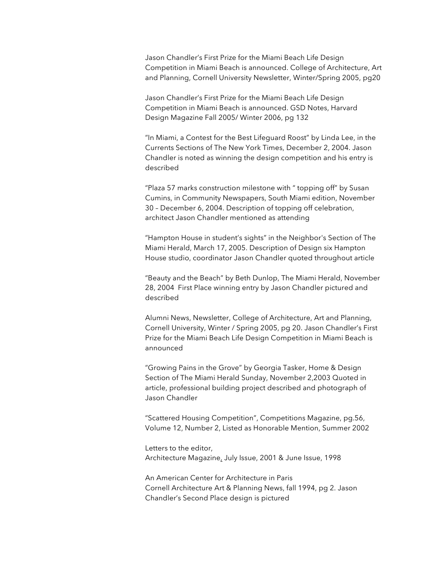Jason Chandler's First Prize for the Miami Beach Life Design Competition in Miami Beach is announced. College of Architecture, Art and Planning, Cornell University Newsletter, Winter/Spring 2005, pg20

Jason Chandler's First Prize for the Miami Beach Life Design Competition in Miami Beach is announced. GSD Notes, Harvard Design Magazine Fall 2005/ Winter 2006, pg 132

"In Miami, a Contest for the Best Lifeguard Roost" by Linda Lee, in the Currents Sections of The New York Times, December 2, 2004. Jason Chandler is noted as winning the design competition and his entry is described

"Plaza 57 marks construction milestone with " topping off" by Susan Cumins, in Community Newspapers, South Miami edition, November 30 – December 6, 2004. Description of topping off celebration, architect Jason Chandler mentioned as attending

"Hampton House in student's sights" in the Neighbor's Section of The Miami Herald, March 17, 2005. Description of Design six Hampton House studio, coordinator Jason Chandler quoted throughout article

"Beauty and the Beach" by Beth Dunlop, The Miami Herald, November 28, 2004 First Place winning entry by Jason Chandler pictured and described

Alumni News, Newsletter, College of Architecture, Art and Planning, Cornell University, Winter / Spring 2005, pg 20. Jason Chandler's First Prize for the Miami Beach Life Design Competition in Miami Beach is announced

"Growing Pains in the Grove" by Georgia Tasker, Home & Design Section of The Miami Herald Sunday, November 2,2003 Quoted in article, professional building project described and photograph of Jason Chandler

"Scattered Housing Competition", Competitions Magazine, pg.56, Volume 12, Number 2, Listed as Honorable Mention, Summer 2002

Letters to the editor, Architecture Magazine, July Issue, 2001 & June Issue, 1998

An American Center for Architecture in Paris Cornell Architecture Art & Planning News, fall 1994, pg 2. Jason Chandler's Second Place design is pictured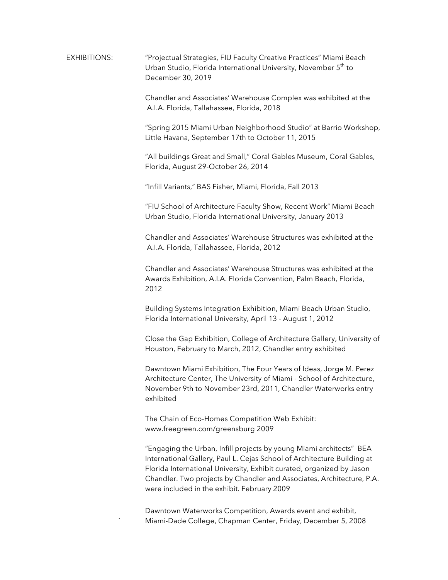EXHIBITIONS: "Projectual Strategies, FIU Faculty Creative Practices" Miami Beach Urban Studio, Florida International University, November 5<sup>th</sup> to December 30, 2019

> Chandler and Associates' Warehouse Complex was exhibited at the A.I.A. Florida, Tallahassee, Florida, 2018

"Spring 2015 Miami Urban Neighborhood Studio" at Barrio Workshop, Little Havana, September 17th to October 11, 2015

"All buildings Great and Small," Coral Gables Museum, Coral Gables, Florida, August 29-October 26, 2014

"Infill Variants," BAS Fisher, Miami, Florida, Fall 2013

"FIU School of Architecture Faculty Show, Recent Work" Miami Beach Urban Studio, Florida International University, January 2013

Chandler and Associates' Warehouse Structures was exhibited at the A.I.A. Florida, Tallahassee, Florida, 2012

Chandler and Associates' Warehouse Structures was exhibited at the Awards Exhibition, A.I.A. Florida Convention, Palm Beach, Florida, 2012

Building Systems Integration Exhibition, Miami Beach Urban Studio, Florida International University, April 13 - August 1, 2012

Close the Gap Exhibition, College of Architecture Gallery, University of Houston, February to March, 2012, Chandler entry exhibited

Dawntown Miami Exhibition, The Four Years of Ideas, Jorge M. Perez Architecture Center, The University of Miami - School of Architecture, November 9th to November 23rd, 2011, Chandler Waterworks entry exhibited

The Chain of Eco-Homes Competition Web Exhibit: www.freegreen.com/greensburg 2009

"Engaging the Urban, Infill projects by young Miami architects" BEA International Gallery, Paul L. Cejas School of Architecture Building at Florida International University, Exhibit curated, organized by Jason Chandler. Two projects by Chandler and Associates, Architecture, P.A. were included in the exhibit. February 2009

Dawntown Waterworks Competition, Awards event and exhibit, ` Miami-Dade College, Chapman Center, Friday, December 5, 2008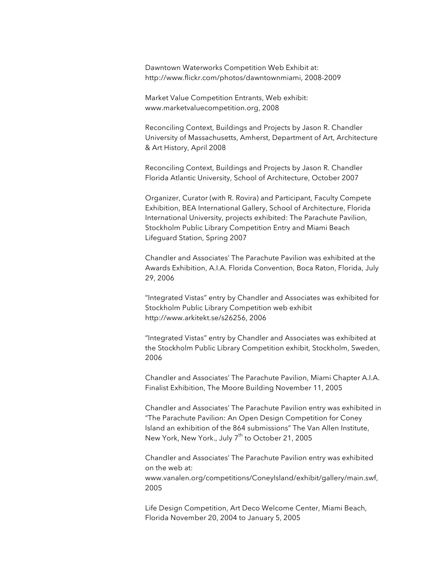Dawntown Waterworks Competition Web Exhibit at: http://www.flickr.com/photos/dawntownmiami, 2008-2009

Market Value Competition Entrants, Web exhibit: www.marketvaluecompetition.org, 2008

Reconciling Context, Buildings and Projects by Jason R. Chandler University of Massachusetts, Amherst, Department of Art, Architecture & Art History, April 2008

Reconciling Context, Buildings and Projects by Jason R. Chandler Florida Atlantic University, School of Architecture, October 2007

Organizer, Curator (with R. Rovira) and Participant, Faculty Compete Exhibition, BEA International Gallery, School of Architecture, Florida International University, projects exhibited: The Parachute Pavilion, Stockholm Public Library Competition Entry and Miami Beach Lifeguard Station, Spring 2007

Chandler and Associates' The Parachute Pavilion was exhibited at the Awards Exhibition, A.I.A. Florida Convention, Boca Raton, Florida, July 29, 2006

"Integrated Vistas" entry by Chandler and Associates was exhibited for Stockholm Public Library Competition web exhibit http://www.arkitekt.se/s26256, 2006

"Integrated Vistas" entry by Chandler and Associates was exhibited at the Stockholm Public Library Competition exhibit, Stockholm, Sweden, 2006

Chandler and Associates' The Parachute Pavilion, Miami Chapter A.I.A. Finalist Exhibition, The Moore Building November 11, 2005

Chandler and Associates' The Parachute Pavilion entry was exhibited in "The Parachute Pavilion: An Open Design Competition for Coney Island an exhibition of the 864 submissions" The Van Allen Institute, New York, New York., July 7<sup>th</sup> to October 21, 2005

Chandler and Associates' The Parachute Pavilion entry was exhibited on the web at: www.vanalen.org/competitions/ConeyIsland/exhibit/gallery/main.swf, 2005

Life Design Competition, Art Deco Welcome Center, Miami Beach, Florida November 20, 2004 to January 5, 2005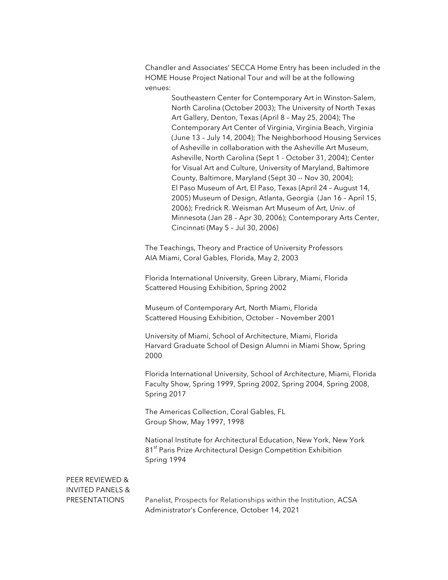Chandler and Associates' SECCA Home Entry has been included in the HOME House Project National Tour and will be at the following venues:

> Southeastern Center for Contemporary Art in Winston-Salem, North Carolina (October 2003); The University of North Texas Art Gallery, Denton, Texas (April 8 – May 25, 2004); The Contemporary Art Center of Virginia, Virginia Beach, Virginia (June 13 – July 14, 2004); The Neighborhood Housing Services of Asheville in collaboration with the Asheville Art Museum, Asheville, North Carolina (Sept 1 - October 31, 2004); Center for Visual Art and Culture, University of Maryland, Baltimore County, Baltimore, Maryland (Sept 30 -- Nov 30, 2004); El Paso Museum of Art, El Paso, Texas (April 24 – August 14, 2005) Museum of Design, Atlanta, Georgia (Jan 16 – April 15, 2006); Fredrick R. Weisman Art Museum of Art, Univ. of Minnesota (Jan 28 – Apr 30, 2006); Contemporary Arts Center, Cincinnati (May 5 – Jul 30, 2006)

The Teachings, Theory and Practice of University Professors AIA Miami, Coral Gables, Florida, May 2, 2003

Florida International University, Green Library, Miami, Florida Scattered Housing Exhibition, Spring 2002

Museum of Contemporary Art, North Miami, Florida Scattered Housing Exhibition, October – November 2001

University of Miami, School of Architecture, Miami, Florida Harvard Graduate School of Design Alumni in Miami Show, Spring 2000

Florida International University, School of Architecture, Miami, Florida Faculty Show, Spring 1999, Spring 2002, Spring 2004, Spring 2008, Spring 2017

The Americas Collection, Coral Gables, FL Group Show, May 1997, 1998

National Institute for Architectural Education, New York, New York 81<sup>st</sup> Paris Prize Architectural Design Competition Exhibition Spring 1994

## PEER REVIEWED & INVITED PANELS &

PRESENTATIONS Panelist, Prospects for Relationships within the Institution, ACSA Administrator's Conference, October 14, 2021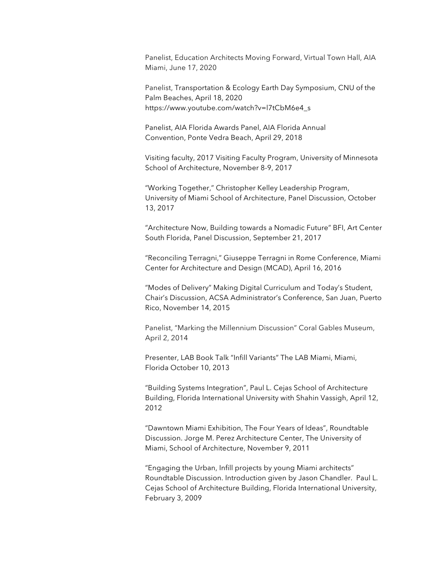Panelist, Education Architects Moving Forward, Virtual Town Hall, AIA Miami, June 17, 2020

Panelist, Transportation & Ecology Earth Day Symposium, CNU of the Palm Beaches, April 18, 2020 https://www.youtube.com/watch?v=l7tCbM6e4\_s

Panelist, AIA Florida Awards Panel, AIA Florida Annual Convention, Ponte Vedra Beach, April 29, 2018

Visiting faculty, 2017 Visiting Faculty Program, University of Minnesota School of Architecture, November 8-9, 2017

"Working Together," Christopher Kelley Leadership Program, University of Miami School of Architecture, Panel Discussion, October 13, 2017

"Architecture Now, Building towards a Nomadic Future" BFI, Art Center South Florida, Panel Discussion, September 21, 2017

"Reconciling Terragni," Giuseppe Terragni in Rome Conference, Miami Center for Architecture and Design (MCAD), April 16, 2016

"Modes of Delivery" Making Digital Curriculum and Today's Student, Chair's Discussion, ACSA Administrator's Conference, San Juan, Puerto Rico, November 14, 2015

Panelist, "Marking the Millennium Discussion" Coral Gables Museum, April 2, 2014

Presenter, LAB Book Talk "Infill Variants" The LAB Miami, Miami, Florida October 10, 2013

"Building Systems Integration", Paul L. Cejas School of Architecture Building, Florida International University with Shahin Vassigh, April 12, 2012

"Dawntown Miami Exhibition, The Four Years of Ideas", Roundtable Discussion. Jorge M. Perez Architecture Center, The University of Miami, School of Architecture, November 9, 2011

"Engaging the Urban, Infill projects by young Miami architects" Roundtable Discussion. Introduction given by Jason Chandler. Paul L. Cejas School of Architecture Building, Florida International University, February 3, 2009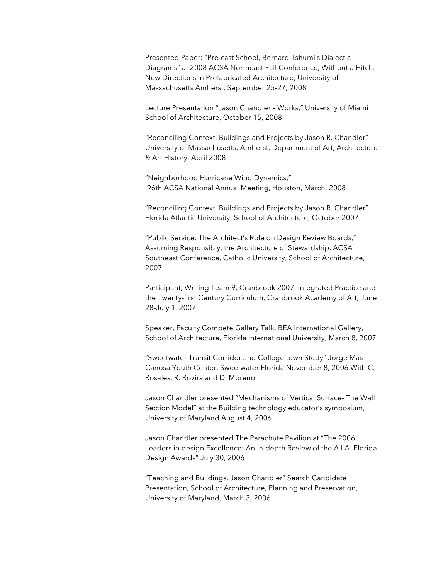Presented Paper: "Pre-cast School, Bernard Tshumi's Dialectic Diagrams" at 2008 ACSA Northeast Fall Conference, Without a Hitch: New Directions in Prefabricated Architecture, University of Massachusetts Amherst, September 25-27, 2008

Lecture Presentation "Jason Chandler – Works," University of Miami School of Architecture, October 15, 2008

"Reconciling Context, Buildings and Projects by Jason R. Chandler" University of Massachusetts, Amherst, Department of Art, Architecture & Art History, April 2008

"Neighborhood Hurricane Wind Dynamics," 96th ACSA National Annual Meeting, Houston, March, 2008

"Reconciling Context, Buildings and Projects by Jason R. Chandler" Florida Atlantic University, School of Architecture, October 2007

"Public Service: The Architect's Role on Design Review Boards," Assuming Responsibly, the Architecture of Stewardship, ACSA Southeast Conference, Catholic University, School of Architecture, 2007

Participant, Writing Team 9, Cranbrook 2007, Integrated Practice and the Twenty-first Century Curriculum, Cranbrook Academy of Art, June 28-July 1, 2007

Speaker, Faculty Compete Gallery Talk, BEA International Gallery, School of Architecture, Florida International University, March 8, 2007

"Sweetwater Transit Corridor and College town Study" Jorge Mas Canosa Youth Center, Sweetwater Florida November 8, 2006 With C. Rosales, R. Rovira and D. Moreno

Jason Chandler presented "Mechanisms of Vertical Surface- The Wall Section Model" at the Building technology educator's symposium, University of Maryland August 4, 2006

Jason Chandler presented The Parachute Pavilion at "The 2006 Leaders in design Excellence: An In-depth Review of the A.I.A. Florida Design Awards" July 30, 2006

"Teaching and Buildings, Jason Chandler" Search Candidate Presentation, School of Architecture, Planning and Preservation, University of Maryland, March 3, 2006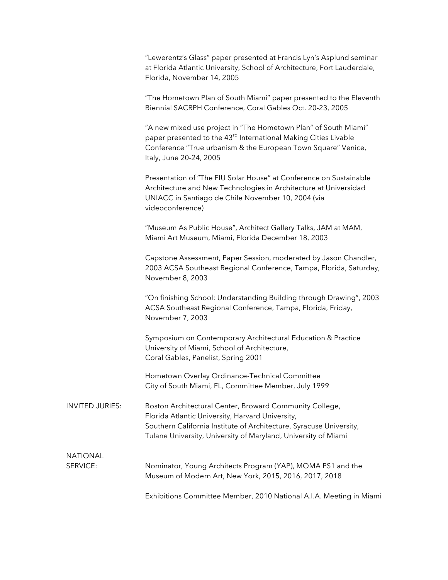"Lewerentz's Glass" paper presented at Francis Lyn's Asplund seminar at Florida Atlantic University, School of Architecture, Fort Lauderdale, Florida, November 14, 2005

"The Hometown Plan of South Miami" paper presented to the Eleventh Biennial SACRPH Conference, Coral Gables Oct. 20-23, 2005

"A new mixed use project in "The Hometown Plan" of South Miami" paper presented to the 43<sup>rd</sup> International Making Cities Livable Conference "True urbanism & the European Town Square" Venice, Italy, June 20-24, 2005

Presentation of "The FIU Solar House" at Conference on Sustainable Architecture and New Technologies in Architecture at Universidad UNIACC in Santiago de Chile November 10, 2004 (via videoconference)

"Museum As Public House", Architect Gallery Talks, JAM at MAM, Miami Art Museum, Miami, Florida December 18, 2003

Capstone Assessment, Paper Session, moderated by Jason Chandler, 2003 ACSA Southeast Regional Conference, Tampa, Florida, Saturday, November 8, 2003

"On finishing School: Understanding Building through Drawing", 2003 ACSA Southeast Regional Conference, Tampa, Florida, Friday, November 7, 2003

Symposium on Contemporary Architectural Education & Practice University of Miami, School of Architecture, Coral Gables, Panelist, Spring 2001

Hometown Overlay Ordinance-Technical Committee City of South Miami, FL, Committee Member, July 1999

INVITED JURIES: Boston Architectural Center, Broward Community College, Florida Atlantic University, Harvard University, Southern California Institute of Architecture, Syracuse University, Tulane University, University of Maryland, University of Miami

## NATIONAL

SERVICE: Nominator, Young Architects Program (YAP), MOMA PS1 and the Museum of Modern Art, New York, 2015, 2016, 2017, 2018

Exhibitions Committee Member, 2010 National A.I.A. Meeting in Miami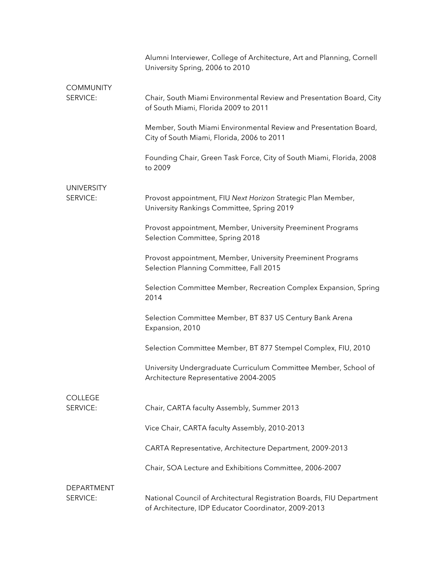|                               | Alumni Interviewer, College of Architecture, Art and Planning, Cornell<br>University Spring, 2006 to 2010                     |
|-------------------------------|-------------------------------------------------------------------------------------------------------------------------------|
| <b>COMMUNITY</b>              |                                                                                                                               |
| SERVICE:                      | Chair, South Miami Environmental Review and Presentation Board, City<br>of South Miami, Florida 2009 to 2011                  |
|                               | Member, South Miami Environmental Review and Presentation Board,<br>City of South Miami, Florida, 2006 to 2011                |
|                               | Founding Chair, Green Task Force, City of South Miami, Florida, 2008<br>to 2009                                               |
|                               |                                                                                                                               |
| <b>UNIVERSITY</b><br>SERVICE: | Provost appointment, FIU Next Horizon Strategic Plan Member,<br>University Rankings Committee, Spring 2019                    |
|                               | Provost appointment, Member, University Preeminent Programs<br>Selection Committee, Spring 2018                               |
|                               | Provost appointment, Member, University Preeminent Programs<br>Selection Planning Committee, Fall 2015                        |
|                               | Selection Committee Member, Recreation Complex Expansion, Spring<br>2014                                                      |
|                               | Selection Committee Member, BT 837 US Century Bank Arena<br>Expansion, 2010                                                   |
|                               | Selection Committee Member, BT 877 Stempel Complex, FIU, 2010                                                                 |
|                               | University Undergraduate Curriculum Committee Member, School of<br>Architecture Representative 2004-2005                      |
| <b>COLLEGE</b>                |                                                                                                                               |
| SERVICE:                      | Chair, CARTA faculty Assembly, Summer 2013                                                                                    |
|                               | Vice Chair, CARTA faculty Assembly, 2010-2013                                                                                 |
|                               | CARTA Representative, Architecture Department, 2009-2013                                                                      |
|                               | Chair, SOA Lecture and Exhibitions Committee, 2006-2007                                                                       |
| DEPARTMENT                    |                                                                                                                               |
| SERVICE:                      | National Council of Architectural Registration Boards, FIU Department<br>of Architecture, IDP Educator Coordinator, 2009-2013 |